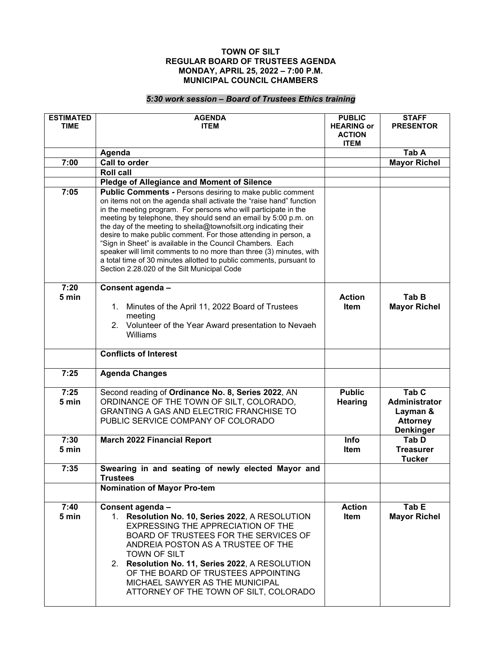## **TOWN OF SILT REGULAR BOARD OF TRUSTEES AGENDA MONDAY, APRIL 25, 2022 – 7:00 P.M. MUNICIPAL COUNCIL CHAMBERS**

## *5:30 work session – Board of Trustees Ethics training*

| <b>ESTIMATED</b><br><b>TIME</b> | <b>AGENDA</b><br><b>ITEM</b>                                                                                                                                                                                                                                                                                                                                                                                                                                                                                                                                                                                                                                                    | <b>PUBLIC</b><br><b>HEARING or</b><br><b>ACTION</b><br><b>ITEM</b> | <b>STAFF</b><br><b>PRESENTOR</b>                                                     |
|---------------------------------|---------------------------------------------------------------------------------------------------------------------------------------------------------------------------------------------------------------------------------------------------------------------------------------------------------------------------------------------------------------------------------------------------------------------------------------------------------------------------------------------------------------------------------------------------------------------------------------------------------------------------------------------------------------------------------|--------------------------------------------------------------------|--------------------------------------------------------------------------------------|
|                                 | Agenda                                                                                                                                                                                                                                                                                                                                                                                                                                                                                                                                                                                                                                                                          |                                                                    | Tab A                                                                                |
| 7:00                            | Call to order                                                                                                                                                                                                                                                                                                                                                                                                                                                                                                                                                                                                                                                                   |                                                                    | <b>Mayor Richel</b>                                                                  |
|                                 | <b>Roll call</b>                                                                                                                                                                                                                                                                                                                                                                                                                                                                                                                                                                                                                                                                |                                                                    |                                                                                      |
|                                 | <b>Pledge of Allegiance and Moment of Silence</b>                                                                                                                                                                                                                                                                                                                                                                                                                                                                                                                                                                                                                               |                                                                    |                                                                                      |
| 7:05                            | <b>Public Comments - Persons desiring to make public comment</b><br>on items not on the agenda shall activate the "raise hand" function<br>in the meeting program. For persons who will participate in the<br>meeting by telephone, they should send an email by 5:00 p.m. on<br>the day of the meeting to sheila@townofsilt.org indicating their<br>desire to make public comment. For those attending in person, a<br>"Sign in Sheet" is available in the Council Chambers. Each<br>speaker will limit comments to no more than three (3) minutes, with<br>a total time of 30 minutes allotted to public comments, pursuant to<br>Section 2.28.020 of the Silt Municipal Code |                                                                    |                                                                                      |
| 7:20<br>5 min                   | Consent agenda -<br>1. Minutes of the April 11, 2022 Board of Trustees<br>meeting<br>2. Volunteer of the Year Award presentation to Nevaeh<br>Williams                                                                                                                                                                                                                                                                                                                                                                                                                                                                                                                          | <b>Action</b><br><b>Item</b>                                       | Tab B<br><b>Mayor Richel</b>                                                         |
|                                 | <b>Conflicts of Interest</b>                                                                                                                                                                                                                                                                                                                                                                                                                                                                                                                                                                                                                                                    |                                                                    |                                                                                      |
| 7:25                            | <b>Agenda Changes</b>                                                                                                                                                                                                                                                                                                                                                                                                                                                                                                                                                                                                                                                           |                                                                    |                                                                                      |
| 7:25<br>5 min                   | Second reading of Ordinance No. 8, Series 2022, AN<br>ORDINANCE OF THE TOWN OF SILT, COLORADO,<br>GRANTING A GAS AND ELECTRIC FRANCHISE TO<br>PUBLIC SERVICE COMPANY OF COLORADO                                                                                                                                                                                                                                                                                                                                                                                                                                                                                                | <b>Public</b><br>Hearing                                           | Tab <sub>C</sub><br>Administrator<br>Layman &<br><b>Attorney</b><br><b>Denkinger</b> |
| 7:30<br>5 min                   | <b>March 2022 Financial Report</b>                                                                                                                                                                                                                                                                                                                                                                                                                                                                                                                                                                                                                                              | Info<br>Item                                                       | Tab D<br><b>Treasurer</b><br><b>Tucker</b>                                           |
| 7:35                            | Swearing in and seating of newly elected Mayor and<br><b>Trustees</b>                                                                                                                                                                                                                                                                                                                                                                                                                                                                                                                                                                                                           |                                                                    |                                                                                      |
|                                 | <b>Nomination of Mayor Pro-tem</b>                                                                                                                                                                                                                                                                                                                                                                                                                                                                                                                                                                                                                                              |                                                                    |                                                                                      |
| 7:40<br>5 min                   | Consent agenda -<br>1. Resolution No. 10, Series 2022, A RESOLUTION<br>EXPRESSING THE APPRECIATION OF THE<br>BOARD OF TRUSTEES FOR THE SERVICES OF<br>ANDREIA POSTON AS A TRUSTEE OF THE<br><b>TOWN OF SILT</b><br>2. Resolution No. 11, Series 2022, A RESOLUTION<br>OF THE BOARD OF TRUSTEES APPOINTING<br>MICHAEL SAWYER AS THE MUNICIPAL<br>ATTORNEY OF THE TOWN OF SILT, COLORADO                                                                                                                                                                                                                                                                                          | <b>Action</b><br>Item                                              | Tab E<br><b>Mayor Richel</b>                                                         |